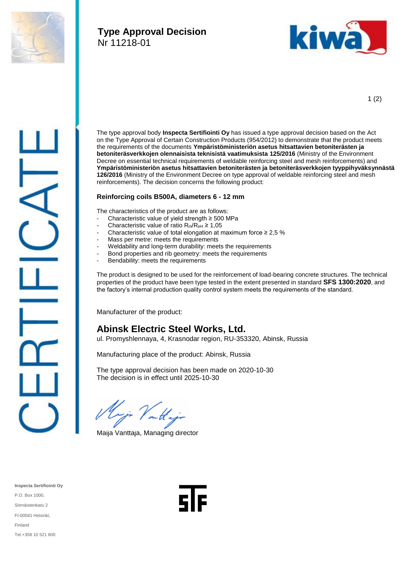

## **Type Approval Decision** Nr 11218-01



1 (2)



The type approval body **Inspecta Sertifiointi Oy** has issued a type approval decision based on the Act on the Type Approval of Certain Construction Products (954/2012) to demonstrate that the product meets the requirements of the documents **Ympäristöministeriön asetus hitsattavien betoniterästen ja betoniteräsverkkojen olennaisista teknisistä vaatimuksista 125/2016** (Ministry of the Environment Decree on essential technical requirements of weldable reinforcing steel and mesh reinforcements) and **Ympäristöministeriön asetus hitsattavien betoniterästen ja betoniteräsverkkojen tyyppihyväksynnästä 126/2016** (Ministry of the Environment Decree on type approval of weldable reinforcing steel and mesh reinforcements). The decision concerns the following product:

## **Reinforcing coils B500A, diameters 6 - 12 mm**

The characteristics of the product are as follows:

- Characteristic value of yield strength  $\geq$  500 MPa
- Characteristic value of ratio  $R_m/R_{eH} \ge 1,05$
- Characteristic value of total elongation at maximum force  $\geq 2.5$  %
- Mass per metre: meets the requirements
- Weldability and long-term durability: meets the requirements
- Bond properties and rib geometry: meets the requirements
- Bendability: meets the requirements

The product is designed to be used for the reinforcement of load-bearing concrete structures. The technical properties of the product have been type tested in the extent presented in standard **SFS 1300:2020**, and the factory's internal production quality control system meets the requirements of the standard.

Manufacturer of the product:

## **Abinsk Electric Steel Works, Ltd.**

ul. Promyshlennaya, 4, Krasnodar region, RU-353320, Abinsk, Russia

Manufacturing place of the product: Abinsk, Russia

The type approval decision has been made on 2020-10-30 The decision is in effect until 2025-10-30

Maija Vanttaja, Managing director

**Inspecta Sertifiointi Oy** P.O. Box 1000, Sörnäistenkatu 2 FI-00581 Helsinki, Finland Tel.+358 10 521 600